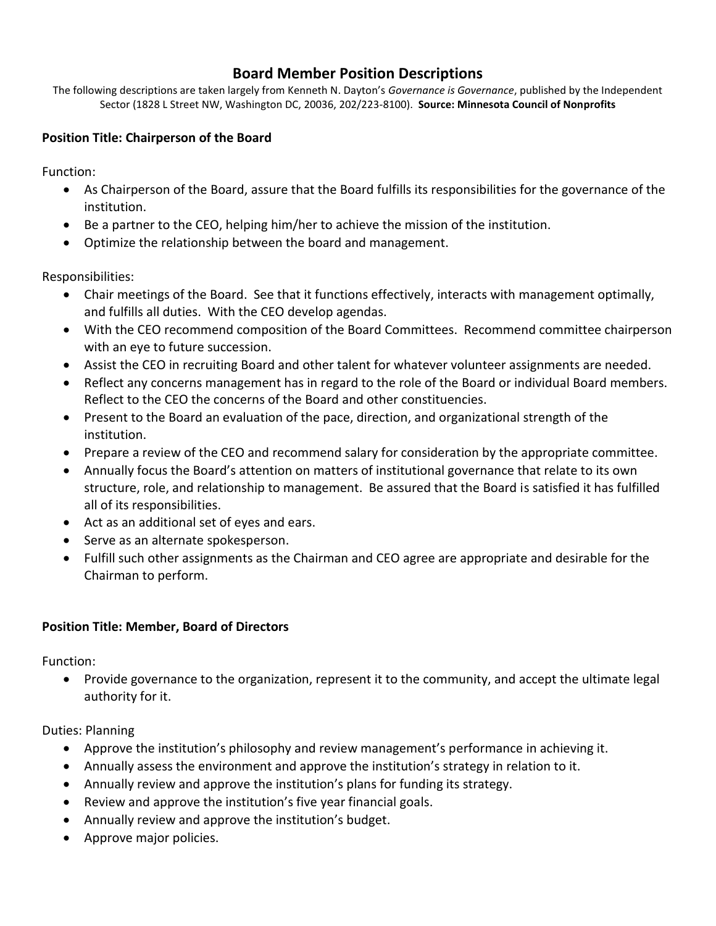## **Board Member Position Descriptions**

The following descriptions are taken largely from Kenneth N. Dayton's *Governance is Governance*, published by the Independent Sector (1828 L Street NW, Washington DC, 20036, 202/223-8100). **Source: Minnesota Council of Nonprofits**

## **Position Title: Chairperson of the Board**

Function:

- As Chairperson of the Board, assure that the Board fulfills its responsibilities for the governance of the institution.
- Be a partner to the CEO, helping him/her to achieve the mission of the institution.
- Optimize the relationship between the board and management.

Responsibilities:

- Chair meetings of the Board. See that it functions effectively, interacts with management optimally, and fulfills all duties. With the CEO develop agendas.
- With the CEO recommend composition of the Board Committees. Recommend committee chairperson with an eye to future succession.
- Assist the CEO in recruiting Board and other talent for whatever volunteer assignments are needed.
- Reflect any concerns management has in regard to the role of the Board or individual Board members. Reflect to the CEO the concerns of the Board and other constituencies.
- Present to the Board an evaluation of the pace, direction, and organizational strength of the institution.
- Prepare a review of the CEO and recommend salary for consideration by the appropriate committee.
- Annually focus the Board's attention on matters of institutional governance that relate to its own structure, role, and relationship to management. Be assured that the Board is satisfied it has fulfilled all of its responsibilities.
- Act as an additional set of eyes and ears.
- Serve as an alternate spokesperson.
- Fulfill such other assignments as the Chairman and CEO agree are appropriate and desirable for the Chairman to perform.

## **Position Title: Member, Board of Directors**

Function:

 Provide governance to the organization, represent it to the community, and accept the ultimate legal authority for it.

Duties: Planning

- Approve the institution's philosophy and review management's performance in achieving it.
- Annually assess the environment and approve the institution's strategy in relation to it.
- Annually review and approve the institution's plans for funding its strategy.
- Review and approve the institution's five year financial goals.
- Annually review and approve the institution's budget.
- Approve major policies.